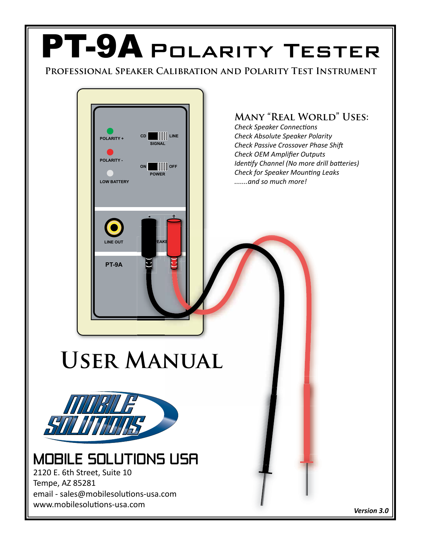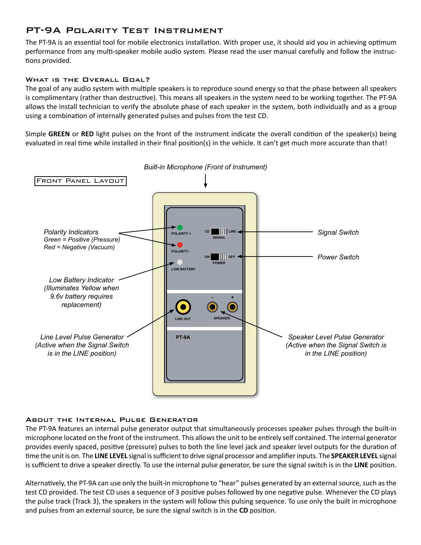# PT-9A Polarity Test Instrument

The PT-9A is an essential tool for mobile electronics installation. With proper use, it should aid you in achieving optimum performance from any multi-speaker mobile audio system. Please read the user manual carefully and follow the instructions provided.

### WHAT IS THE OVERALL GOAL?

The goal of any audio system with multiple speakers is to reproduce sound energy so that the phase between all speakers is complimentary (rather than destructive). This means all speakers in the system need to be working together. The PT-9A allows the install technician to verify the absolute phase of each speaker in the system, both individually and as a group using a combination of internally generated pulses and pulses from the test CD.

Simple **GREEN** or **RED** light pulses on the front of the instrument indicate the overall condition of the speaker(s) being evaluated in real time while installed in their final position(s) in the vehicle. It can't get much more accurate than that!



### About the Internal Pulse Generator

The PT-9A features an internal pulse generator output that simultaneously processes speaker pulses through the built-in microphone located on the front of the instrument. This allows the unit to be entirely self contained. The internal generator provides evenly spaced, positive (pressure) pulses to both the line level jack and speaker level outputs for the duration of time the unit is on. The **LINE LEVEL** signal is sufficient to drive signal processor and amplifier inputs. The **SPEAKER LEVEL** signal is sufficient to drive a speaker directly. To use the internal pulse generator, be sure the signal switch is in the **LINE** position.

Alternatively, the PT-9A can use only the built-in microphone to "hear" pulses generated by an external source, such as the test CD provided. The test CD uses a sequence of 3 positive pulses followed by one negative pulse. Whenever the CD plays the pulse track (Track 3), the speakers in the system will follow this pulsing sequence. To use only the built in microphone and pulses from an external source, be sure the signal switch is in the **CD** position.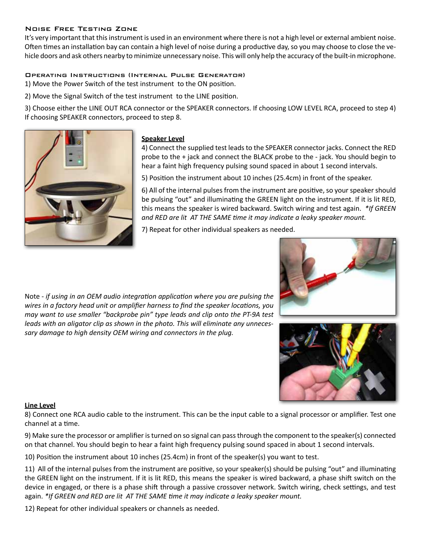### Noise Free Testing Zone

It's very important that this instrument is used in an environment where there is not a high level or external ambient noise. Often times an installation bay can contain a high level of noise during a productive day, so you may choose to close the vehicle doors and ask others nearby to minimize unnecessary noise. This will only help the accuracy of the built-in microphone.

### Operating Instructions (Internal Pulse Generator)

1) Move the Power Switch of the test instrument to the ON position.

2) Move the Signal Switch of the test instrument to the LINE position.

3) Choose either the LINE OUT RCA connector or the SPEAKER connectors. If choosing LOW LEVEL RCA, proceed to step 4) If choosing SPEAKER connectors, proceed to step 8.



### **Speaker Level**

4) Connect the supplied test leads to the SPEAKER connector jacks. Connect the RED probe to the + jack and connect the BLACK probe to the - jack. You should begin to hear a faint high frequency pulsing sound spaced in about 1 second intervals.

5) Position the instrument about 10 inches (25.4cm) in front of the speaker.

6) All of the internal pulses from the instrument are positive, so your speaker should be pulsing "out" and illuminating the GREEN light on the instrument. If it is lit RED, this means the speaker is wired backward. Switch wiring and test again. *\*If GREEN and RED are lit AT THE SAME time it may indicate a leaky speaker mount.*

7) Repeat for other individual speakers as needed.



Note - *if using in an OEM audio integration application where you are pulsing the wires in a factory head unit or amplifier harness to find the speaker locations, you may want to use smaller "backprobe pin" type leads and clip onto the PT-9A test leads with an aligator clip as shown in the photo. This will eliminate any unnecessary damage to high density OEM wiring and connectors in the plug.*



### **Line Level**

8) Connect one RCA audio cable to the instrument. This can be the input cable to a signal processor or amplifier. Test one channel at a time.

9) Make sure the processor or amplifier is turned on so signal can pass through the component to the speaker(s) connected on that channel. You should begin to hear a faint high frequency pulsing sound spaced in about 1 second intervals.

10) Position the instrument about 10 inches (25.4cm) in front of the speaker(s) you want to test.

11) All of the internal pulses from the instrument are positive, so your speaker(s) should be pulsing "out" and illuminating the GREEN light on the instrument. If it is lit RED, this means the speaker is wired backward, a phase shift switch on the device in engaged, or there is a phase shift through a passive crossover network. Switch wiring, check settings, and test again. *\*If GREEN and RED are lit AT THE SAME time it may indicate a leaky speaker mount.*

12) Repeat for other individual speakers or channels as needed.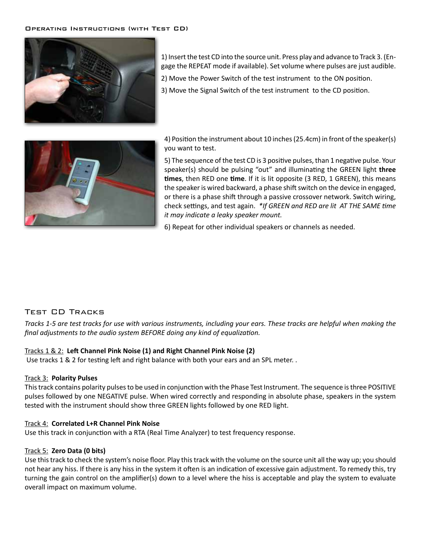

1) Insert the test CD into the source unit. Press play and advance to Track 3. (Engage the REPEAT mode if available). Set volume where pulses are just audible.

2) Move the Power Switch of the test instrument to the ON position.

3) Move the Signal Switch of the test instrument to the CD position.



4) Position the instrument about 10 inches (25.4cm) in front of the speaker(s) you want to test.

5) The sequence of the test CD is 3 positive pulses, than 1 negative pulse. Your speaker(s) should be pulsing "out" and illuminating the GREEN light three **times**, then RED one **time**. If it is lit opposite (3 RED, 1 GREEN), this means the speaker is wired backward, a phase shift switch on the device in engaged, or there is a phase shift through a passive crossover network. Switch wiring, check settings, and test again. *\*If GREEN and RED are lit AT THE SAME time it may indicate a leaky speaker mount.*

6) Repeat for other individual speakers or channels as needed.

## Test CD Tracks

*Tracks 1-5 are test tracks for use with various instruments, including your ears. These tracks are helpful when making the final adjustments to the audio system BEFORE doing any kind of equalization.* 

### Tracks 1 & 2: **Left Channel Pink Noise (1) and Right Channel Pink Noise (2)**

Use tracks 1 & 2 for testing left and right balance with both your ears and an SPL meter. .

### Track 3: **Polarity Pulses**

This track contains polarity pulses to be used in conjunction with the Phase Test Instrument. The sequence is three POSITIVE pulses followed by one NEGATIVE pulse. When wired correctly and responding in absolute phase, speakers in the system tested with the instrument should show three GREEN lights followed by one RED light.

### Track 4: **Correlated L+R Channel Pink Noise**

Use this track in conjunction with a RTA (Real Time Analyzer) to test frequency response.

#### Track 5: **Zero Data (0 bits)**

Use this track to check the system's noise floor. Play this track with the volume on the source unit all the way up; you should not hear any hiss. If there is any hiss in the system it often is an indication of excessive gain adjustment. To remedy this, try turning the gain control on the amplifier(s) down to a level where the hiss is acceptable and play the system to evaluate overall impact on maximum volume.